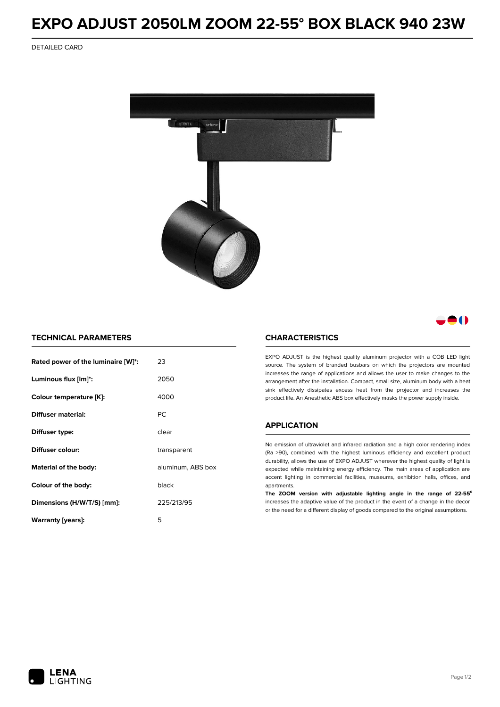## **EXPO ADJUST 2050LM ZOOM 22-55° BOX BLACK 940 23W**

DETAILED CARD



80

### **TECHNICAL PARAMETERS**

| Rated power of the luminaire [W]*: | 23                |  |
|------------------------------------|-------------------|--|
| Luminous flux [lm]*:               | 2050              |  |
| Colour temperature [K]:            | 4000              |  |
| Diffuser material:                 | PC.               |  |
| Diffuser type:                     | clear             |  |
| Diffuser colour:                   | transparent       |  |
| Material of the body:              | aluminum, ABS box |  |
| Colour of the body:                | black             |  |
| Dimensions (H/W/T/S) [mm]:         | 225/213/95        |  |
| Warranty [years]:                  | 5                 |  |

#### **CHARACTERISTICS**

EXPO ADJUST is the highest quality aluminum projector with a COB LED light source. The system of branded busbars on which the projectors are mounted increases the range of applications and allows the user to make changes to the arrangement after the installation. Compact, small size, aluminum body with a heat sink effectively dissipates excess heat from the projector and increases the product life. An Anesthetic ABS box effectively masks the power supply inside.

## **APPLICATION**

No emission of ultraviolet and infrared radiation and a high color rendering index (Ra >90), combined with the highest luminous efficiency and excellent product durability, allows the use of EXPO ADJUST wherever the highest quality of light is expected while maintaining energy efficiency. The main areas of application are accent lighting in commercial facilities, museums, exhibition halls, offices, and apartments.

**The ZOOM version with adjustable lighting angle in the range of 22-55⁰** increases the adaptive value of the product in the event of a change in the decor or the need for a different display of goods compared to the original assumptions.